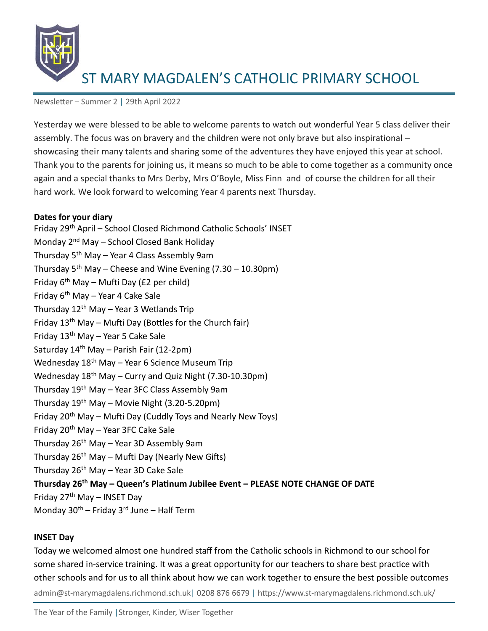

Newsletter – Summer 2 | 29th April 2022

Yesterday we were blessed to be able to welcome parents to watch out wonderful Year 5 class deliver their assembly. The focus was on bravery and the children were not only brave but also inspirational – showcasing their many talents and sharing some of the adventures they have enjoyed this year at school. Thank you to the parents for joining us, it means so much to be able to come together as a community once again and a special thanks to Mrs Derby, Mrs O'Boyle, Miss Finn and of course the children for all their hard work. We look forward to welcoming Year 4 parents next Thursday.

### **Dates for your diary**

Friday 29th April – School Closed Richmond Catholic Schools' INSET Monday 2<sup>nd</sup> May – School Closed Bank Holiday Thursday 5th May – Year 4 Class Assembly 9am Thursday  $5<sup>th</sup>$  May – Cheese and Wine Evening (7.30 – 10.30pm) Friday  $6<sup>th</sup>$  May – Mufti Day (£2 per child) Friday  $6<sup>th</sup>$  May – Year 4 Cake Sale Thursday  $12^{th}$  May – Year 3 Wetlands Trip Friday  $13<sup>th</sup>$  May – Mufti Day (Bottles for the Church fair) Friday  $13<sup>th</sup>$  May – Year 5 Cake Sale Saturday  $14<sup>th</sup>$  May – Parish Fair (12-2pm) Wednesday 18<sup>th</sup> May - Year 6 Science Museum Trip Wednesday  $18<sup>th</sup>$  May – Curry and Quiz Night (7.30-10.30pm) Thursday 19th May – Year 3FC Class Assembly 9am Thursday  $19^{th}$  May – Movie Night (3.20-5.20pm) Friday  $20<sup>th</sup>$  May – Mufti Day (Cuddly Toys and Nearly New Toys) Friday 20th May – Year 3FC Cake Sale Thursday  $26^{th}$  May – Year 3D Assembly 9am Thursday 26th May – Mufti Day (Nearly New Gifts) Thursday  $26<sup>th</sup>$  May – Year 3D Cake Sale **Thursday 26th May – Queen's Platinum Jubilee Event – PLEASE NOTE CHANGE OF DATE** Friday  $27<sup>th</sup>$  May – INSET Day Monday  $30^{th}$  – Friday 3<sup>rd</sup> June – Half Term

#### **INSET Day**

admin@st-marymagdalens.richmond.sch.uk| 0208 876 6679 | https://www.st-marymagdalens.richmond.sch.uk/ Today we welcomed almost one hundred staff from the Catholic schools in Richmond to our school for some shared in-service training. It was a great opportunity for our teachers to share best practice with other schools and for us to all think about how we can work together to ensure the best possible outcomes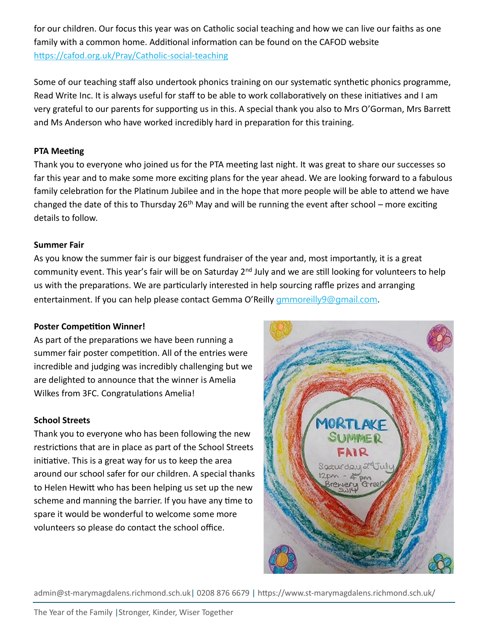for our children. Our focus this year was on Catholic social teaching and how we can live our faiths as one family with a common home. Additional information can be found on the CAFOD website <https://cafod.org.uk/Pray/Catholic-social-teaching>

Some of our teaching staff also undertook phonics training on our systematic synthetic phonics programme, Read Write Inc. It is always useful for staff to be able to work collaboratively on these initiatives and I am very grateful to our parents for supporting us in this. A special thank you also to Mrs O'Gorman, Mrs Barrett and Ms Anderson who have worked incredibly hard in preparation for this training.

# **PTA Meeting**

Thank you to everyone who joined us for the PTA meeting last night. It was great to share our successes so far this year and to make some more exciting plans for the year ahead. We are looking forward to a fabulous family celebration for the Platinum Jubilee and in the hope that more people will be able to attend we have changed the date of this to Thursday 26<sup>th</sup> May and will be running the event after school – more exciting details to follow.

## **Summer Fair**

As you know the summer fair is our biggest fundraiser of the year and, most importantly, it is a great community event. This year's fair will be on Saturday 2<sup>nd</sup> July and we are still looking for volunteers to help us with the preparations. We are particularly interested in help sourcing raffle prizes and arranging entertainment. If you can help please contact Gemma O'Reilly [gmmoreilly9@gmail.com](mailto:gmmoreilly9@gmail.com).

## **Poster Competition Winner!**

As part of the preparations we have been running a summer fair poster competition. All of the entries were incredible and judging was incredibly challenging but we are delighted to announce that the winner is Amelia Wilkes from 3FC. Congratulations Amelia!

## **School Streets**

Thank you to everyone who has been following the new restrictions that are in place as part of the School Streets initiative. This is a great way for us to keep the area around our school safer for our children. A special thanks to Helen Hewitt who has been helping us set up the new scheme and manning the barrier. If you have any time to spare it would be wonderful to welcome some more volunteers so please do contact the school office.



admin@st-marymagdalens.richmond.sch.uk| 0208 876 6679 | https://www.st-marymagdalens.richmond.sch.uk/